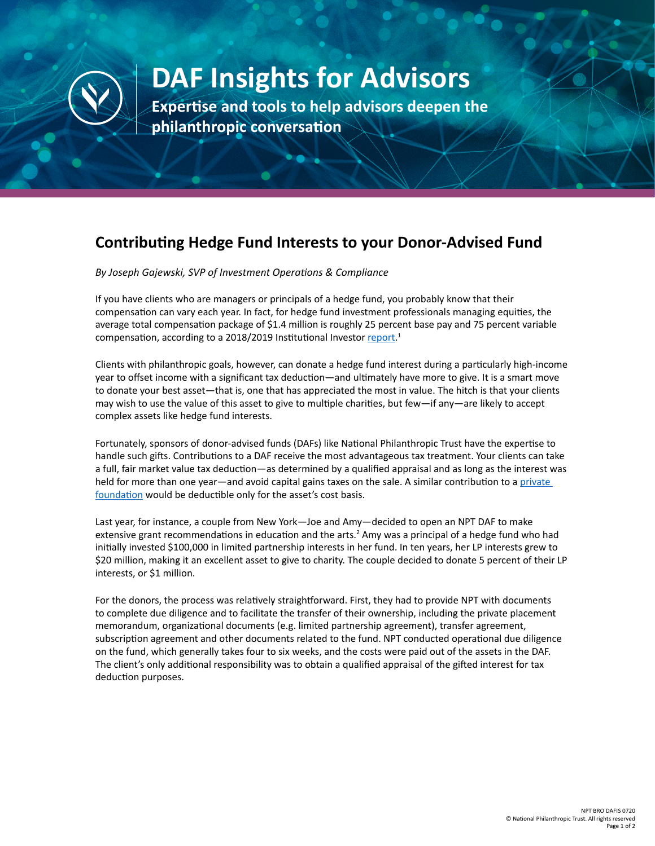

## **DAF Insights for Advisors**

**Expertise and tools to help advisors deepen the philanthropic conversation**

## **Contributing Hedge Fund Interests to your Donor-Advised Fund**

*By Joseph Gajewski, SVP of Investment Operations & Compliance*

If you have clients who are managers or principals of a hedge fund, you probably know that their compensation can vary each year. In fact, for hedge fund investment professionals managing equities, the average total compensation package of \$1.4 million is roughly 25 percent base pay and 75 percent variable compensation, according to a 2018/2019 Institutional Investor [report](https://www.institutionalinvestor.com/Media/articles/b1f5yln2wv2xfs/public/201819GlobalHedgeFundCompensation.pdf).<sup>1</sup>

Clients with philanthropic goals, however, can donate a hedge fund interest during a particularly high-income year to offset income with a significant tax deduction—and ultimately have more to give. It is a smart move to donate your best asset—that is, one that has appreciated the most in value. The hitch is that your clients may wish to use the value of this asset to give to multiple charities, but few—if any—are likely to accept complex assets like hedge fund interests.

Fortunately, sponsors of donor-advised funds (DAFs) like National Philanthropic Trust have the expertise to handle such gifts. Contributions to a DAF receive the most advantageous tax treatment. Your clients can take a full, fair market value tax deduction—as determined by a qualified appraisal and as long as the interest was held for more than one year—and avoid capital gains taxes on the sale. A similar contribution to a private [foundation](https://www.nptrust.org/what-is-a-donor-advised-fund/daf-tax-consideration/) would be deductible only for the asset's cost basis.

Last year, for instance, a couple from New York—Joe and Amy—decided to open an NPT DAF to make extensive grant recommendations in education and the arts.<sup>2</sup> Amy was a principal of a hedge fund who had initially invested \$100,000 in limited partnership interests in her fund. In ten years, her LP interests grew to \$20 million, making it an excellent asset to give to charity. The couple decided to donate 5 percent of their LP interests, or \$1 million.

For the donors, the process was relatively straightforward. First, they had to provide NPT with documents to complete due diligence and to facilitate the transfer of their ownership, including the private placement memorandum, organizational documents (e.g. limited partnership agreement), transfer agreement, subscription agreement and other documents related to the fund. NPT conducted operational due diligence on the fund, which generally takes four to six weeks, and the costs were paid out of the assets in the DAF. The client's only additional responsibility was to obtain a qualified appraisal of the gifted interest for tax deduction purposes.